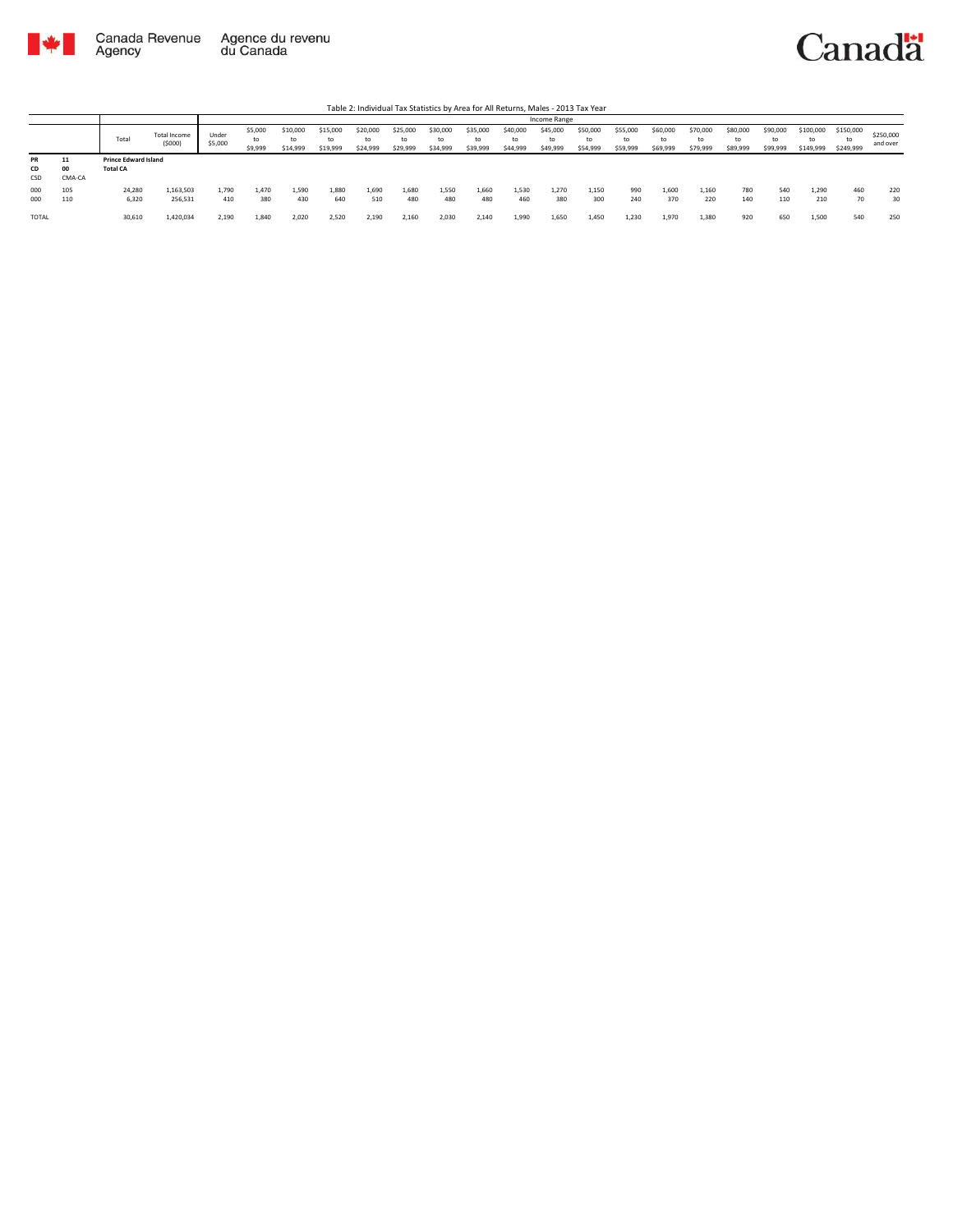



Table 2: Individual Tax Statistics by Area for All Returns, Males - 2013 Tax Year

|                        |                    |                                                |                        |                  | Income Range             |                            |                            |                            |                            |                      |                            |                            |                            |                            |                            |                            |                            |                            |                      |                              |                              |                       |
|------------------------|--------------------|------------------------------------------------|------------------------|------------------|--------------------------|----------------------------|----------------------------|----------------------------|----------------------------|----------------------|----------------------------|----------------------------|----------------------------|----------------------------|----------------------------|----------------------------|----------------------------|----------------------------|----------------------|------------------------------|------------------------------|-----------------------|
|                        |                    | Total                                          | Total Income<br>(5000) | Under<br>\$5,000 | \$5,000<br>to<br>\$9,999 | \$10,000<br>to<br>\$14,999 | \$15,000<br>to<br>\$19,999 | \$20,000<br>to<br>\$24,999 | \$25,000<br>to<br>\$29,999 | \$30,000<br>\$34,999 | \$35,000<br>to<br>\$39,999 | \$40,000<br>to<br>\$44,999 | \$45,000<br>to<br>\$49,999 | \$50,000<br>to<br>\$54,999 | \$55,000<br>to<br>\$59,999 | \$60,000<br>to<br>\$69,999 | \$70,000<br>to<br>\$79,999 | \$80,000<br>to<br>\$89,999 | \$90,000<br>\$99,999 | \$100,000<br>to<br>\$149,999 | \$150,000<br>to<br>\$249,999 | \$250,000<br>and over |
| <b>PR</b><br>CD<br>CSD | 11<br>00<br>CMA-CA | <b>Prince Edward Island</b><br><b>Total CA</b> |                        |                  |                          |                            |                            |                            |                            |                      |                            |                            |                            |                            |                            |                            |                            |                            |                      |                              |                              |                       |
| 000<br>000             | 105<br>110         | 24,280<br>6,320                                | 1,163,503<br>256,531   | 1.790<br>410     | 1.470<br>380             | 1,590<br>430               | 1,880<br>640               | 1,690<br>510               | 1,680<br>480               | 1.550<br>480         | 1.660<br>480               | 1,530<br>460               | 1,270<br>380               | 1,150<br>300               | 990<br>240                 | 1,600<br>370               | 1,160<br>220               | 780<br>140                 | 540<br>110           | 1,290<br>210                 | 460<br>70                    | 220<br>30             |
| <b>TOTAL</b>           |                    | 30,610                                         | 1.420.034              | 2.190            | 1.840                    | 2.020                      | 2.520                      | 2.190                      | 2.160                      | 2.030                | 2.140                      | 1,990                      | 1.650                      | 1.450                      | 1.230                      | 1.970                      | 1.380                      | 920                        | 650                  | 1.500                        | 540                          | 250                   |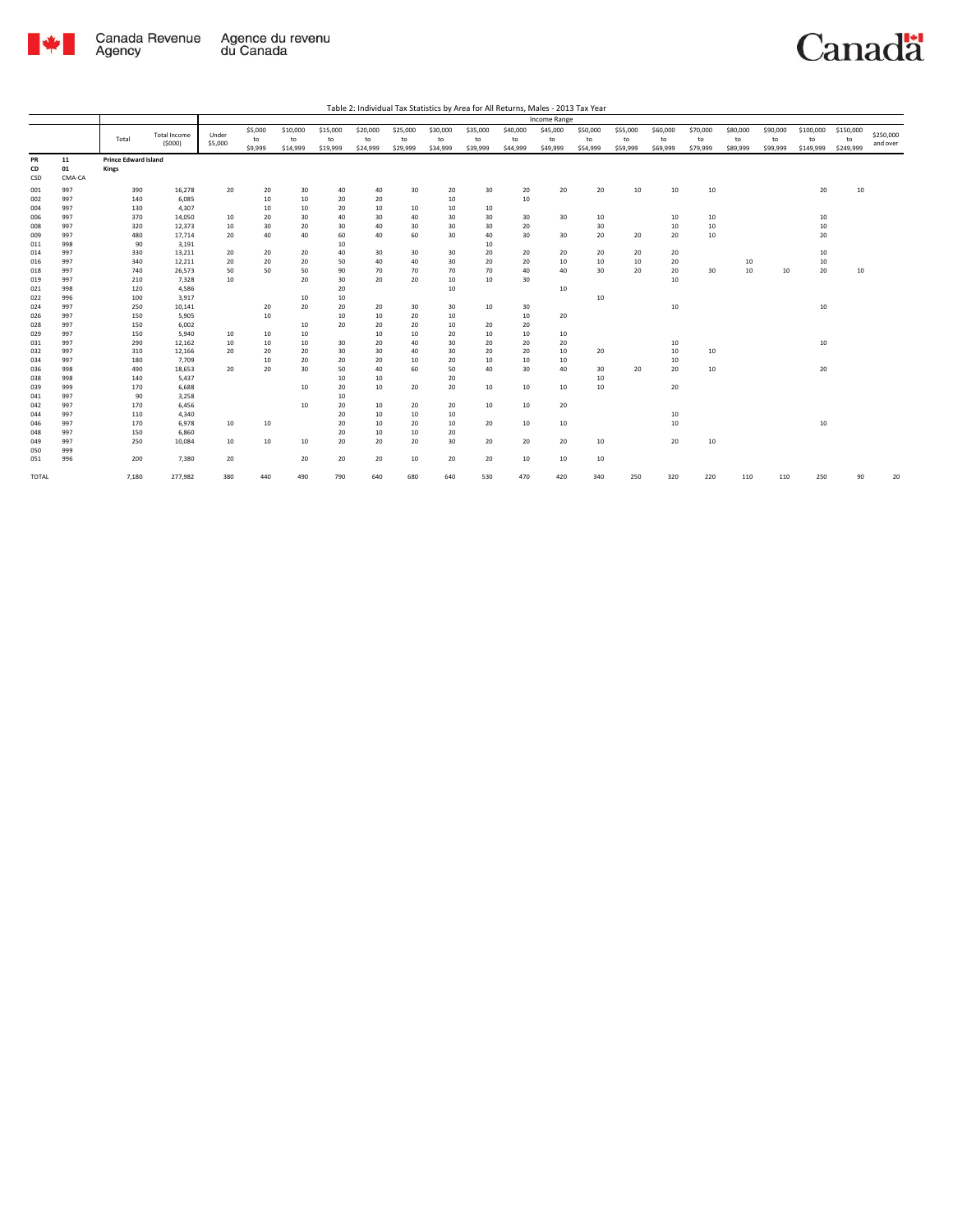

Canadä

Table 2: Individual Tax Statistics by Area for All Returns, Males - 2013 Tax Year

|       |        | Income Range                |                     |         |         |          |          |          |          |          |          |          |          |          |          |          |          |          |          |           |           |           |
|-------|--------|-----------------------------|---------------------|---------|---------|----------|----------|----------|----------|----------|----------|----------|----------|----------|----------|----------|----------|----------|----------|-----------|-----------|-----------|
|       |        |                             |                     |         | \$5,000 | \$10,000 | \$15,000 | \$20,000 | \$25,000 | \$30,000 | \$35,000 | \$40,000 | \$45,000 | \$50,000 | \$55,000 | \$60,000 | \$70,000 | \$80,000 | \$90,000 | \$100,000 | \$150,000 | \$250,000 |
|       |        | Total                       | <b>Total Income</b> | Under   | to      | to       | to       | to       | to       | to       | to       | to       | to       | to       | to       | to       | to       | to       | to       | to        | to        |           |
|       |        |                             | (5000)              | \$5,000 | \$9,999 | \$14,999 | \$19,999 | \$24,999 | \$29,999 | \$34,999 | \$39,999 | \$44,999 | \$49,999 | \$54,999 | \$59,999 | \$69,999 | \$79,999 | \$89,999 | \$99,999 | \$149,999 | \$249,999 | and over  |
| PR    | 11     | <b>Prince Edward Island</b> |                     |         |         |          |          |          |          |          |          |          |          |          |          |          |          |          |          |           |           |           |
| CD    | 01     | Kings                       |                     |         |         |          |          |          |          |          |          |          |          |          |          |          |          |          |          |           |           |           |
| CSD   | CMA-CA |                             |                     |         |         |          |          |          |          |          |          |          |          |          |          |          |          |          |          |           |           |           |
|       |        |                             |                     |         |         |          |          |          |          |          |          |          |          |          |          |          |          |          |          |           |           |           |
| 001   | 997    | 390                         | 16,278              | 20      | 20      | 30       | 40       | 40       | 30       | 20       | 30       | 20       | 20       | 20       | 10       | 10       | 10       |          |          | 20        | 10        |           |
| 002   | 997    | 140                         | 6,085               |         | 10      | 10       | 20       | 20       |          | 10       |          | 10       |          |          |          |          |          |          |          |           |           |           |
| 004   | 997    | 130                         | 4,307               |         | 10      | 10       | 20       | 10       | 10       | 10       | 10       |          |          |          |          |          |          |          |          |           |           |           |
| 006   | 997    | 370                         | 14,050              | 10      | 20      | 30       | 40       | 30       | 40       | 30       | 30       | 30       | 30       | 10       |          | 10       | 10       |          |          | 10        |           |           |
| 008   | 997    | 320                         | 12,373              | 10      | 30      | 20       | 30       | 40       | 30       | 30       | 30       | 20       |          | 30       |          | 10       | 10       |          |          | 10        |           |           |
| 009   | 997    | 480                         | 17,714              | 20      | 40      | 40       | 60       | 40       | 60       | 30       | 40       | 30       | 30       | 20       | 20       | 20       | 10       |          |          | 20        |           |           |
| 011   | 998    | 90                          | 3,191               |         |         |          | 10       |          |          |          | 10       |          |          |          |          |          |          |          |          |           |           |           |
| 014   | 997    | 330                         | 13,211              | 20      | 20      | 20       | 40       | 30       | 30       | 30       | 20       | 20       | 20       | 20       | 20       | 20       |          |          |          | 10        |           |           |
| 016   | 997    | 340                         | 12,211              | 20      | 20      | 20       | 50       | 40       | 40       | 30       | 20       | 20       | 10       | 10       | 10       | 20       |          | 10       |          | 10        |           |           |
| 018   | 997    | 740                         | 26,573              | 50      | 50      | 50       | 90       | 70       | 70       | 70       | 70       | 40       | 40       | 30       | 20       | 20       | 30       | 10       | 10       | 20        | 10        |           |
| 019   | 997    | 210                         | 7,328               | 10      |         | 20       | 30       | 20       | 20       | 10       | 10       | 30       |          |          |          | 10       |          |          |          |           |           |           |
| 021   | 998    | 120                         | 4,586               |         |         |          | 20       |          |          | 10       |          |          | 10       |          |          |          |          |          |          |           |           |           |
| 022   | 996    | 100                         | 3,917               |         |         | 10       | 10       |          |          |          |          |          |          | 10       |          |          |          |          |          |           |           |           |
| 024   | 997    | 250                         | 10,141              |         | 20      | 20       | 20       | 20       | 30       | 30       | 10       | 30       |          |          |          | 10       |          |          |          | 10        |           |           |
| 026   | 997    | 150                         | 5,905               |         | 10      |          | 10       | 10       | 20       | 10       |          | 10       | 20       |          |          |          |          |          |          |           |           |           |
| 028   | 997    | 150                         | 6,002               |         |         | 10       | 20       | 20       | 20       | 10       | 20       | 20       |          |          |          |          |          |          |          |           |           |           |
| 029   | 997    | 150                         | 5.940               | 10      | 10      | 10       |          | 10       | 10       | 20       | 10       | 10       | 10       |          |          |          |          |          |          |           |           |           |
| 031   | 997    | 290                         | 12,162              | 10      | 10      | 10       | 30       | 20       | 40       | 30       | 20       | 20       | 20       |          |          | 10       |          |          |          | 10        |           |           |
| 032   | 997    | 310                         | 12,166              | 20      | 20      | 20       | 30       | 30       | 40       | 30       | 20       | 20       | 10       | 20       |          | 10       | 10       |          |          |           |           |           |
| 034   | 997    | 180                         | 7,709               |         | 10      | 20       | 20       | 20       | 10       | 20       | 10       | 10       | 10       |          |          | 10       |          |          |          |           |           |           |
| 036   | 998    | 490                         | 18,653              | 20      | 20      | 30       | 50       | 40       | 60       | 50       | 40       | 30       | 40       | 30       | 20       | 20       | 10       |          |          | 20        |           |           |
| 038   | 998    | 140                         | 5,437               |         |         |          | 10       | 10       |          | 20       |          |          |          | 10       |          |          |          |          |          |           |           |           |
| 039   | 999    | 170                         | 6,688               |         |         | 10       | 20       | 10       | 20       | 20       | 10       | 10       | 10       | 10       |          | 20       |          |          |          |           |           |           |
| 041   | 997    | 90                          | 3,258               |         |         |          | 10       |          |          |          |          |          |          |          |          |          |          |          |          |           |           |           |
| 042   | 997    | 170                         | 6,456               |         |         | 10       | 20       | 10       | 20       | 20       | 10       | 10       | 20       |          |          |          |          |          |          |           |           |           |
| 044   | 997    | 110                         | 4,340               |         |         |          | 20       | 10       | 10       | 10       |          |          |          |          |          | 10       |          |          |          |           |           |           |
| 046   | 997    | 170                         | 6,978               | 10      | 10      |          | 20       | 10       | 20       | 10       | 20       | 10       | 10       |          |          | 10       |          |          |          | 10        |           |           |
| 048   | 997    | 150                         | 6,860               |         |         |          | 20       | 10       | 10       | 20       |          |          |          |          |          |          |          |          |          |           |           |           |
| 049   | 997    | 250                         | 10,084              | 10      | 10      | 10       | 20       | 20       | 20       | 30       | 20       | 20       | 20       | 10       |          | 20       | 10       |          |          |           |           |           |
| 050   | 999    |                             |                     |         |         |          |          |          |          |          |          |          |          |          |          |          |          |          |          |           |           |           |
| 051   | 996    | 200                         | 7,380               | 20      |         | 20       | 20       | 20       | 10       | 20       | 20       | 10       | 10       | 10       |          |          |          |          |          |           |           |           |
| TOTAL |        | 7,180                       | 277,982             | 380     | 440     | 490      | 790      | 640      | 680      | 640      | 530      | 470      | 420      | 340      | 250      | 320      | 220      | 110      | 110      | 250       | 90        | 20        |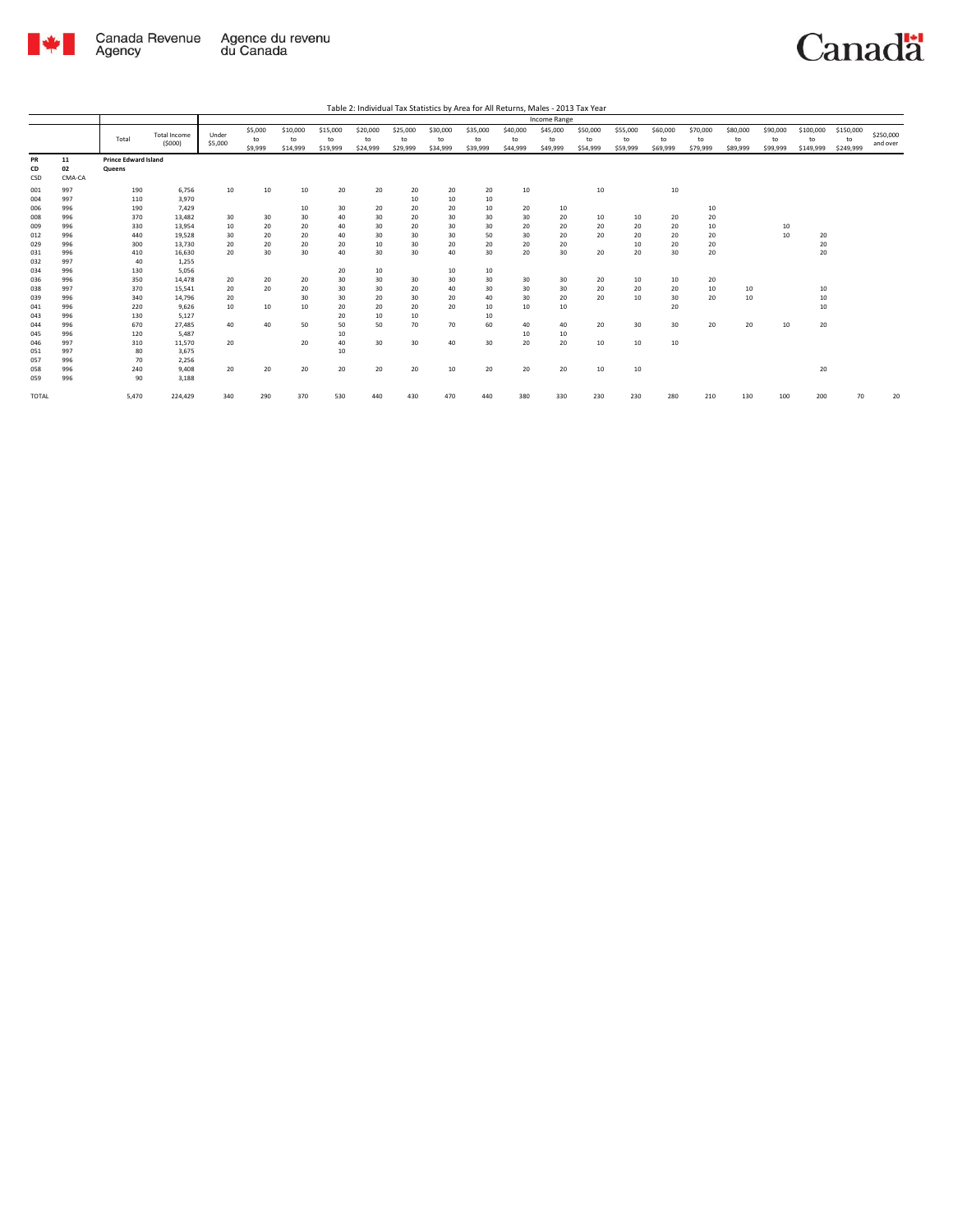

Canadä

Table 2: Individual Tax Statistics by Area for All Returns, Males - 2013 Tax Year

|                 |                    |                                       |                               |                  |                          |                            |                            |                            |                            |                            |                            |                            | Income Range               |                            |                            |                            |                            |                            |                            |                              |                              |                       |
|-----------------|--------------------|---------------------------------------|-------------------------------|------------------|--------------------------|----------------------------|----------------------------|----------------------------|----------------------------|----------------------------|----------------------------|----------------------------|----------------------------|----------------------------|----------------------------|----------------------------|----------------------------|----------------------------|----------------------------|------------------------------|------------------------------|-----------------------|
|                 |                    | Total                                 | <b>Total Income</b><br>(5000) | Under<br>\$5,000 | \$5,000<br>to<br>\$9,999 | \$10,000<br>to<br>\$14,999 | \$15,000<br>to<br>\$19,999 | \$20,000<br>to<br>\$24,999 | \$25,000<br>to<br>\$29,999 | \$30,000<br>to<br>\$34,999 | \$35,000<br>to<br>\$39,999 | \$40,000<br>to<br>\$44,999 | \$45,000<br>to<br>\$49,999 | \$50,000<br>to<br>\$54,999 | \$55,000<br>to<br>\$59,999 | \$60,000<br>to<br>\$69,999 | \$70,000<br>to<br>\$79,999 | \$80,000<br>to<br>\$89,999 | \$90,000<br>to<br>\$99,999 | \$100,000<br>to<br>\$149,999 | \$150,000<br>to<br>\$249,999 | \$250,000<br>and over |
| PR<br>CD<br>CSD | 11<br>02<br>CMA-CA | <b>Prince Edward Island</b><br>Queens |                               |                  |                          |                            |                            |                            |                            |                            |                            |                            |                            |                            |                            |                            |                            |                            |                            |                              |                              |                       |
| 001<br>004      | 997<br>997         | 190<br>110                            | 6,756<br>3,970                | 10               | 10                       | 10                         | 20                         | 20                         | 20<br>10                   | 20<br>10                   | 20<br>10                   | 10                         |                            | 10                         |                            | 10                         |                            |                            |                            |                              |                              |                       |
| 006<br>008      | 996<br>996         | 190<br>370                            | 7,429<br>13,482               | 30               | 30                       | 10<br>30                   | 30<br>40                   | 20<br>30                   | 20<br>20                   | 20<br>30                   | 10<br>30                   | 20<br>30                   | 10<br>20                   | 10                         | 10                         | 20                         | 10<br>20                   |                            |                            |                              |                              |                       |
| 009<br>012      | 996<br>996         | 330<br>440                            | 13.954<br>19,528              | 10<br>30         | 20<br>20                 | 20<br>20                   | 40<br>40                   | 30<br>30                   | 20<br>30                   | 30<br>30                   | 30<br>50                   | 20<br>30                   | 20<br>20                   | 20<br>20                   | 20<br>20                   | 20<br>20                   | 10<br>20                   |                            | 10<br>10                   | 20                           |                              |                       |
| 029<br>031      | 996<br>996         | 300<br>410                            | 13,730<br>16,630              | 20<br>20         | 20<br>30                 | 20<br>30                   | 20<br>40                   | 10<br>30                   | 30<br>30                   | 20<br>40                   | 20<br>30                   | 20<br>20                   | 20<br>30                   | 20                         | 10<br>20                   | 20<br>30                   | 20<br>20                   |                            |                            | 20<br>20                     |                              |                       |
| 032<br>034      | 997<br>996         | 40<br>130                             | 1,255<br>5,056                |                  |                          |                            | 20                         | 10                         |                            | 10                         | 10                         |                            |                            |                            |                            |                            |                            |                            |                            |                              |                              |                       |
| 036<br>038      | 996<br>997         | 350<br>370                            | 14,478<br>15,541              | 20<br>20         | 20<br>20                 | 20<br>20                   | 30<br>30                   | 30<br>30                   | 30<br>20                   | 30<br>40                   | 30<br>30                   | 30<br>30                   | 30<br>30                   | 20<br>20                   | 10<br>20                   | 10<br>20                   | 20<br>10                   | 10                         |                            | 10                           |                              |                       |
| 039<br>041      | 996<br>996         | 340<br>220                            | 14.796<br>9.626               | 20<br>10         | 10                       | 30<br>10                   | 30<br>20                   | 20<br>20                   | 30<br>20                   | 20<br>20                   | 40<br>10                   | 30<br>10                   | 20<br>10                   | 20                         | 10                         | 30<br>20                   | 20                         | 10                         |                            | 10<br>10                     |                              |                       |
| 043<br>044      | 996<br>996         | 130<br>670                            | 5,127<br>27,485               | 40               | 40                       | 50                         | 20<br>50                   | 10<br>50                   | 10<br>70                   | 70                         | 10<br>60                   | 40                         | 40                         | 20                         | 30                         | 30                         | 20                         | 20                         | 10                         | 20                           |                              |                       |
| 045<br>046      | 996<br>997         | 120<br>310                            | 5,487<br>11,570               | 20               |                          | 20                         | 10<br>40                   | 30                         | 30                         | 40                         | 30                         | 10<br>20                   | 10<br>20                   | 10                         | 10                         | 10                         |                            |                            |                            |                              |                              |                       |
| 051<br>057      | 997<br>996         | 80<br>70                              | 3,675<br>2,256                |                  |                          |                            | 10                         |                            |                            |                            |                            |                            |                            |                            |                            |                            |                            |                            |                            |                              |                              |                       |
| 058<br>059      | 996<br>996         | 240<br>90                             | 9,408<br>3,188                | 20               | 20                       | 20                         | 20                         | 20                         | 20                         | 10                         | 20                         | 20                         | 20                         | 10                         | 10                         |                            |                            |                            |                            | 20                           |                              |                       |
| TOTAL           |                    | 5,470                                 | 224,429                       | 340              | 290                      | 370                        | 530                        | 440                        | 430                        | 470                        | 440                        | 380                        | 330                        | 230                        | 230                        | 280                        | 210                        | 130                        | 100                        | 200                          | 70                           | 20                    |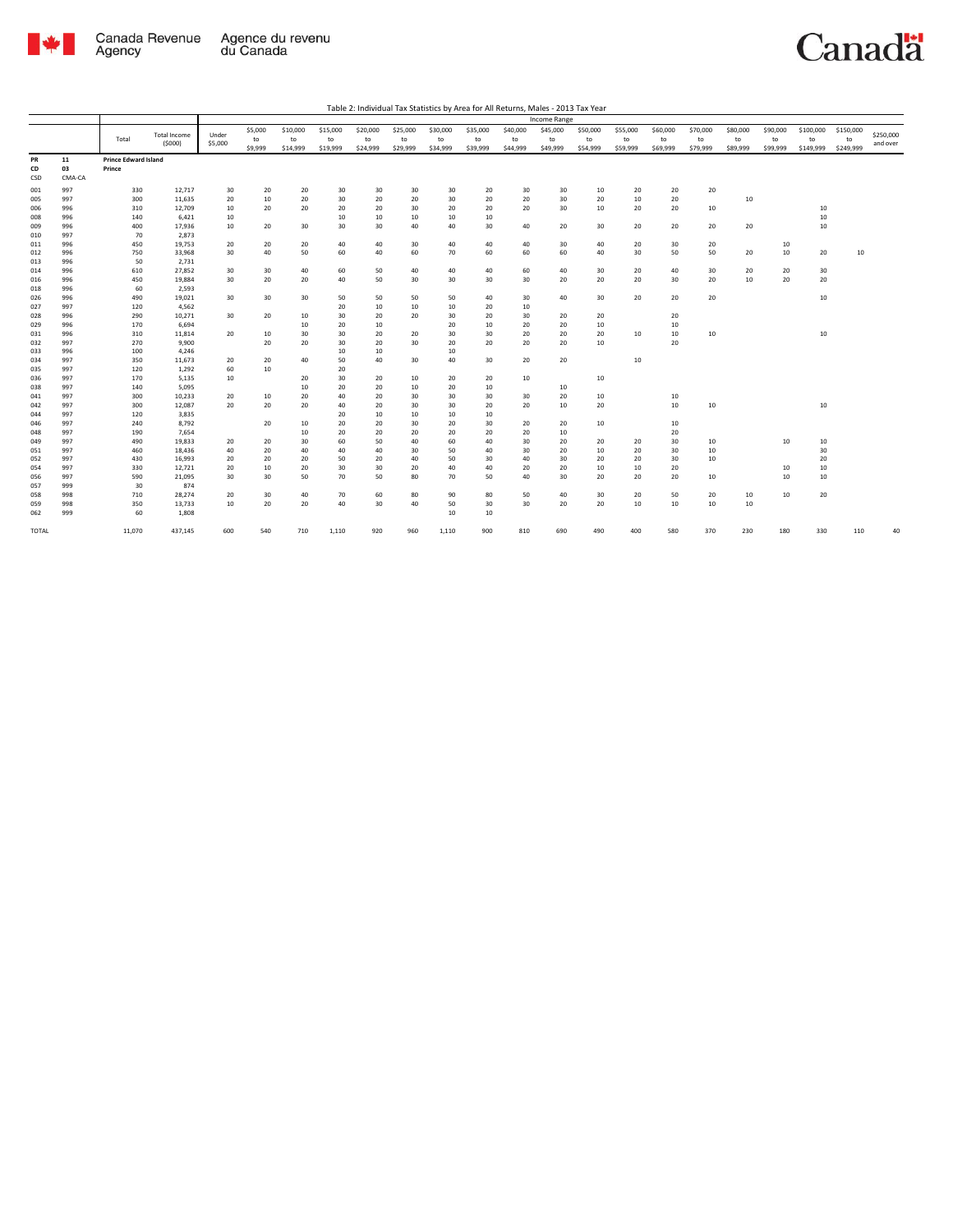

Canadä

| Table 2: Individual Tax Statistics by Area for All Returns, Males - 2013 Tax Year |  |
|-----------------------------------------------------------------------------------|--|

|              |            |                             |                     |          |          |          | <b>Income Range</b> |          |          |          |          |          |          |          |          |          |          |          |          |           |           |           |
|--------------|------------|-----------------------------|---------------------|----------|----------|----------|---------------------|----------|----------|----------|----------|----------|----------|----------|----------|----------|----------|----------|----------|-----------|-----------|-----------|
|              |            |                             | <b>Total Income</b> | Under    | \$5,000  | \$10,000 | \$15,000            | \$20,000 | \$25,000 | \$30,000 | \$35,000 | \$40,000 | \$45,000 | \$50,000 | \$55,000 | \$60,000 | \$70,000 | \$80,000 | \$90,000 | \$100,000 | \$150,000 | \$250,000 |
|              |            | Total                       | (5000)              | \$5,000  | to       | to       | to                  | to       | to       | to       | to       | to       | to       | to       | to       | to       | to       | to       | to       | to        | to        | and over  |
|              |            |                             |                     |          | \$9,999  | \$14,999 | \$19,999            | \$24,999 | \$29,999 | \$34,999 | \$39,999 | \$44,999 | \$49,999 | \$54,999 | \$59,999 | \$69,999 | \$79,999 | \$89,999 | \$99,999 | \$149,999 | \$249,999 |           |
| PR           | 11         | <b>Prince Edward Island</b> |                     |          |          |          |                     |          |          |          |          |          |          |          |          |          |          |          |          |           |           |           |
| CD           | 03         | Prince                      |                     |          |          |          |                     |          |          |          |          |          |          |          |          |          |          |          |          |           |           |           |
| CSD          | CMA-CA     |                             |                     |          |          |          |                     |          |          |          |          |          |          |          |          |          |          |          |          |           |           |           |
| 001          | 997        | 330                         | 12,717              | 30       | 20       | 20       | 30                  | 30       | 30       | 30       | 20       | 30       | 30       | 10       | 20       | 20       | 20       |          |          |           |           |           |
| 005          | 997        | 300                         | 11,635              | 20       | 10       | 20       | 30                  | 20       | 20       | 30       | 20       | 20       | 30       | 20       | 10       | 20       |          | 10       |          |           |           |           |
| 006          | 996        | 310                         | 12,709              | 10       | 20       | 20       | 20                  | 20       | 30       | 20       | 20       | 20       | 30       | $10\,$   | 20       | 20       | 10       |          |          | 10        |           |           |
| 008          | 996        | 140                         | 6,421               | 10       |          |          | 10                  | 10       | 10       | 10       | 10       |          |          |          |          |          |          |          |          | 10        |           |           |
| 009          | 996        | 400                         | 17,936              | 10       | 20       | 30       | 30                  | 30       | 40       | 40       | 30       | 40       | 20       | 30       | 20       | 20       | 20       | 20       |          | 10        |           |           |
| 010          | 997        | 70                          | 2,873               |          |          |          |                     |          |          |          |          |          |          |          |          |          |          |          |          |           |           |           |
| 011          | 996        | 450                         | 19,753              | 20       | 20       | 20       | 40                  | 40       | 30       | 40       | 40       | 40       | 30       | 40       | 20       | 30       | 20       |          | 10       |           |           |           |
| 012          | 996        | 750                         | 33,968              | 30       | 40       | 50       | 60                  | 40       | 60       | 70       | 60       | 60       | 60       | 40       | 30       | 50       | 50       | 20       | 10       | 20        | 10        |           |
| 013          | 996        | 50                          | 2,731               |          |          |          |                     |          |          |          |          |          |          |          |          |          |          |          |          |           |           |           |
| 014          | 996<br>996 | 610<br>450                  | 27,852<br>19,884    | 30<br>30 | 30<br>20 | 40<br>20 | 60<br>40            | 50<br>50 | 40<br>30 | 40<br>30 | 40<br>30 | 60<br>30 | 40<br>20 | 30<br>20 | 20<br>20 | 40<br>30 | 30<br>20 | 20<br>10 | 20<br>20 | 30<br>20  |           |           |
| 016<br>018   | 996        | 60                          | 2,593               |          |          |          |                     |          |          |          |          |          |          |          |          |          |          |          |          |           |           |           |
| 026          | 996        | 490                         | 19,021              | 30       | 30       | 30       | 50                  | 50       | 50       | 50       | 40       | 30       | 40       | 30       | 20       | 20       | 20       |          |          | 10        |           |           |
| 027          | 997        | 120                         | 4,562               |          |          |          | 20                  | 10       | 10       | 10       | 20       | 10       |          |          |          |          |          |          |          |           |           |           |
| 028          | 996        | 290                         | 10,271              | 30       | 20       | 10       | 30                  | 20       | 20       | 30       | 20       | 30       | 20       | 20       |          | 20       |          |          |          |           |           |           |
| 029          | 996        | 170                         | 6,694               |          |          | 10       | 20                  | 10       |          | 20       | 10       | 20       | 20       | 10       |          | 10       |          |          |          |           |           |           |
| 031          | 996        | 310                         | 11,814              | 20       | 10       | 30       | 30                  | 20       | 20       | 30       | 30       | 20       | 20       | 20       | 10       | 10       | 10       |          |          | 10        |           |           |
| 032          | 997        | 270                         | 9,900               |          | 20       | 20       | 30                  | 20       | 30       | 20       | 20       | 20       | 20       | 10       |          | 20       |          |          |          |           |           |           |
| 033          | 996        | 100                         | 4,246               |          |          |          | 10                  | 10       |          | 10       |          |          |          |          |          |          |          |          |          |           |           |           |
| 034          | 997        | 350                         | 11,673              | 20       | 20       | 40       | 50                  | 40       | 30       | 40       | 30       | 20       | 20       |          | 10       |          |          |          |          |           |           |           |
| 035          | 997        | 120                         | 1,292               | 60       | 10       |          | 20                  |          |          |          |          |          |          |          |          |          |          |          |          |           |           |           |
| 036          | 997        | 170                         | 5,135               | 10       |          | 20       | 30                  | 20       | 10       | 20       | 20       | 10       |          | 10       |          |          |          |          |          |           |           |           |
| 038          | 997        | 140                         | 5,095               |          |          | 10       | 20                  | 20       | 10       | 20       | 10       |          | 10       |          |          |          |          |          |          |           |           |           |
| 041          | 997        | 300                         | 10,233              | 20       | 10       | 20       | 40                  | 20       | 30       | 30       | 30       | 30       | 20       | 10       |          | 10       |          |          |          |           |           |           |
| 042          | 997        | 300                         | 12,087              | 20       | 20       | 20       | 40                  | 20       | 30       | 30       | 20       | 20       | 10       | 20       |          | 10       | 10       |          |          | 10        |           |           |
| 044          | 997        | 120                         | 3,835               |          |          |          | 20                  | 10       | 10       | 10       | 10       |          |          |          |          |          |          |          |          |           |           |           |
| 046          | 997        | 240                         | 8,792               |          | 20       | 10       | 20                  | 20       | 30       | 20       | 30       | 20       | 20       | 10       |          | 10       |          |          |          |           |           |           |
| 048          | 997        | 190                         | 7,654               |          |          | 10       | 20                  | 20       | 20       | 20       | 20       | 20       | 10       |          |          | 20       |          |          |          |           |           |           |
| 049          | 997        | 490                         | 19,833              | 20       | 20       | 30       | 60                  | 50       | 40       | 60       | 40       | 30       | 20       | 20       | 20       | 30       | 10       |          | 10       | 10        |           |           |
| 051<br>052   | 997<br>997 | 460<br>430                  | 18,436<br>16,993    | 40<br>20 | 20<br>20 | 40<br>20 | 40<br>50            | 40<br>20 | 30<br>40 | 50<br>50 | 40<br>30 | 30<br>40 | 20<br>30 | 10<br>20 | 20<br>20 | 30<br>30 | 10<br>10 |          |          | 30<br>20  |           |           |
| 054          | 997        | 330                         | 12,721              | 20       | 10       | 20       | 30                  | 30       | 20       | 40       | 40       | 20       | 20       | 10       | 10       | 20       |          |          | 10       | 10        |           |           |
| 056          | 997        | 590                         | 21,095              | 30       | 30       | 50       | 70                  | 50       | 80       | 70       | 50       | 40       | 30       | 20       | 20       | 20       | 10       |          | 10       | 10        |           |           |
| 057          | 999        | 30                          | 874                 |          |          |          |                     |          |          |          |          |          |          |          |          |          |          |          |          |           |           |           |
| 058          | 998        | 710                         | 28,274              | 20       | 30       | 40       | 70                  | 60       | 80       | 90       | 80       | 50       | 40       | 30       | 20       | 50       | 20       | 10       | 10       | 20        |           |           |
| 059          | 998        | 350                         | 13,733              | 10       | 20       | 20       | 40                  | 30       | 40       | 50       | 30       | 30       | 20       | 20       | 10       | 10       | 10       | 10       |          |           |           |           |
| 062          | 999        | 60                          | 1,808               |          |          |          |                     |          |          | 10       | 10       |          |          |          |          |          |          |          |          |           |           |           |
|              |            |                             |                     |          |          |          |                     |          |          |          |          |          |          |          |          |          |          |          |          |           |           |           |
| <b>TOTAL</b> |            | 11,070                      | 437,145             | 600      | 540      | 710      | 1,110               | 920      | 960      | 1,110    | 900      | 810      | 690      | 490      | 400      | 580      | 370      | 230      | 180      | 330       | 110       | 40        |